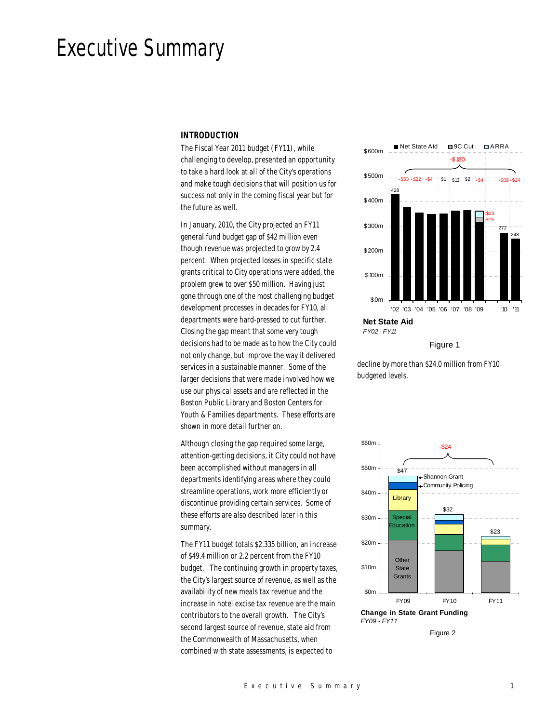# Executive Summary

## *INTRODUCTION*

The Fiscal Year 2011 budget (FY11), while challenging to develop, presented an opportunity to take a hard look at all of the City's operations and make tough decisions that will position us for success not only in the coming fiscal year but for the future as well.

In January, 2010, the City projected an FY11 general fund budget gap of \$42 million even though revenue was projected to grow by 2.4 percent. When projected losses in specific state grants critical to City operations were added, the problem grew to over \$50 million. Having just gone through one of the most challenging budget development processes in decades for FY10, all departments were hard-pressed to cut further. Closing the gap meant that some very tough decisions had to be made as to how the City could not only change, but improve the way it delivered services in a sustainable manner. Some of the larger decisions that were made involved how we use our physical assets and are reflected in the Boston Public Library and Boston Centers for Youth & Families departments. These efforts are shown in more detail further on.

Although closing the gap required some large, attention-getting decisions, it City could not have been accomplished without managers in all departments identifying areas where they could streamline operations, work more efficiently or discontinue providing certain services. Some of these efforts are also described later in this summary.

The FY11 budget totals \$2.335 billion, an increase of \$49.4 million or 2.2 percent from the FY10 budget. The continuing growth in property taxes, the City's largest source of revenue, as well as the availability of new meals tax revenue and the increase in hotel excise tax revenue are the main contributors to the overall growth. The City's second largest source of revenue, state aid from the Commonwealth of Massachusetts, when combined with state assessments, is expected to



Figure 1

decline by more than \$24.0 million from FY10 budgeted levels.



Figure 2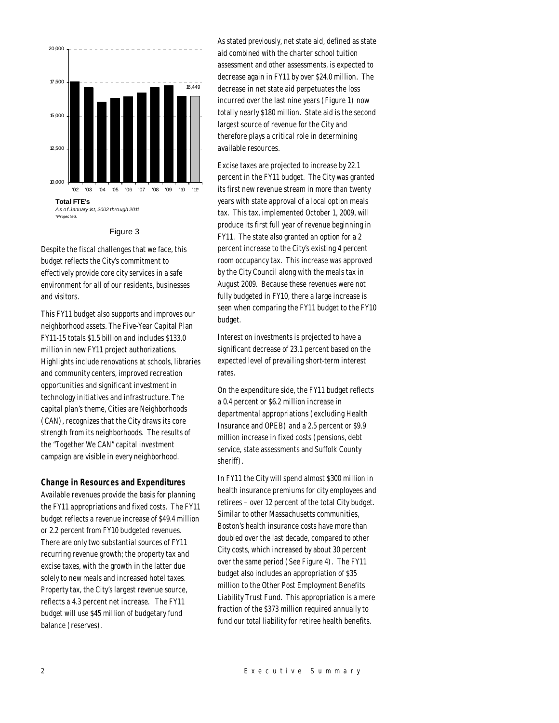

#### Figure 3

Despite the fiscal challenges that we face, this budget reflects the City's commitment to effectively provide core city services in a safe environment for all of our residents, businesses and visitors.

This FY11 budget also supports and improves our neighborhood assets. The Five-Year Capital Plan FY11-15 totals \$1.5 billion and includes \$133.0 million in new FY11 project authorizations. Highlights include renovations at schools, libraries and community centers, improved recreation opportunities and significant investment in technology initiatives and infrastructure. The capital plan's theme, Cities are Neighborhoods (CAN), recognizes that the City draws its core strength from its neighborhoods. The results of the "Together We CAN" capital investment campaign are visible in every neighborhood.

## *Change in Resources and Expenditures*

Available revenues provide the basis for planning the FY11 appropriations and fixed costs. The FY11 budget reflects a revenue increase of \$49.4 million or 2.2 percent from FY10 budgeted revenues. There are only two substantial sources of FY11 recurring revenue growth; the property tax and excise taxes, with the growth in the latter due solely to new meals and increased hotel taxes. Property tax, the City's largest revenue source, reflects a 4.3 percent net increase. The FY11 budget will use \$45 million of budgetary fund balance (reserves).

As stated previously, net state aid, defined as state aid combined with the charter school tuition assessment and other assessments, is expected to decrease again in FY11 by over \$24.0 million. The decrease in net state aid perpetuates the loss incurred over the last nine years (Figure 1) now totally nearly \$180 million. State aid is the second largest source of revenue for the City and therefore plays a critical role in determining available resources.

Excise taxes are projected to increase by 22.1 percent in the FY11 budget. The City was granted its first new revenue stream in more than twenty years with state approval of a local option meals tax. This tax, implemented October 1, 2009, will produce its first full year of revenue beginning in FY11. The state also granted an option for a 2 percent increase to the City's existing 4 percent room occupancy tax. This increase was approved by the City Council along with the meals tax in August 2009. Because these revenues were not fully budgeted in FY10, there a large increase is seen when comparing the FY11 budget to the FY10 budget.

Interest on investments is projected to have a significant decrease of 23.1 percent based on the expected level of prevailing short-term interest rates.

On the expenditure side, the FY11 budget reflects a 0.4 percent or \$6.2 million increase in departmental appropriations (excluding Health Insurance and OPEB) and a 2.5 percent or \$9.9 million increase in fixed costs (pensions, debt service, state assessments and Suffolk County sheriff).

In FY11 the City will spend almost \$300 million in health insurance premiums for city employees and retirees – over 12 percent of the total City budget. Similar to other Massachusetts communities, Boston's health insurance costs have more than doubled over the last decade, compared to other City costs, which increased by about 30 percent over the same period (See Figure 4). The FY11 budget also includes an appropriation of \$35 million to the Other Post Employment Benefits Liability Trust Fund. This appropriation is a mere fraction of the \$373 million required annually to fund our total liability for retiree health benefits.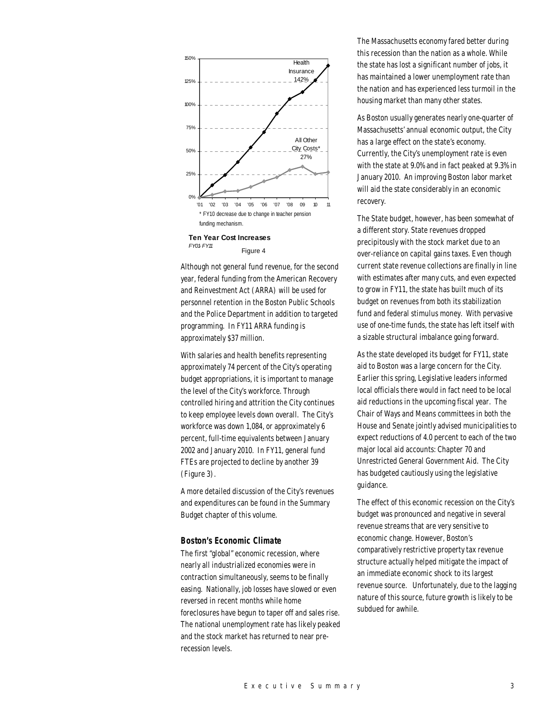

Figure 4

Although not general fund revenue, for the second year, federal funding from the American Recovery and Reinvestment Act (ARRA) will be used for personnel retention in the Boston Public Schools and the Police Department in addition to targeted programming. In FY11 ARRA funding is approximately \$37 million.

With salaries and health benefits representing approximately 74 percent of the City's operating budget appropriations, it is important to manage the level of the City's workforce. Through controlled hiring and attrition the City continues to keep employee levels down overall. The City's workforce was down 1,084, or approximately 6 percent, full-time equivalents between January 2002 and January 2010. In FY11, general fund FTEs are projected to decline by another 39 (Figure 3).

A more detailed discussion of the City's revenues and expenditures can be found in the Summary Budget chapter of this volume.

#### *Boston's Economic Climate*

The first "global" economic recession, where nearly all industrialized economies were in contraction simultaneously, seems to be finally easing. Nationally, job losses have slowed or even reversed in recent months while home foreclosures have begun to taper off and sales rise. The national unemployment rate has likely peaked and the stock market has returned to near prerecession levels.

The Massachusetts economy fared better during this recession than the nation as a whole. While the state has lost a significant number of jobs, it has maintained a lower unemployment rate than the nation and has experienced less turmoil in the housing market than many other states.

As Boston usually generates nearly one-quarter of Massachusetts' annual economic output, the City has a large effect on the state's economy. Currently, the City's unemployment rate is even with the state at 9.0% and in fact peaked at 9.3% in January 2010. An improving Boston labor market will aid the state considerably in an economic recovery.

The State budget, however, has been somewhat of a different story. State revenues dropped precipitously with the stock market due to an over-reliance on capital gains taxes. Even though current state revenue collections are finally in line with estimates after many cuts, and even expected to grow in FY11, the state has built much of its budget on revenues from both its stabilization fund and federal stimulus money. With pervasive use of one-time funds, the state has left itself with a sizable structural imbalance going forward.

As the state developed its budget for FY11, state aid to Boston was a large concern for the City. Earlier this spring, Legislative leaders informed local officials there would in fact need to be local aid reductions in the upcoming fiscal year. The Chair of Ways and Means committees in both the House and Senate jointly advised municipalities to expect reductions of 4.0 percent to each of the two major local aid accounts: Chapter 70 and Unrestricted General Government Aid. The City has budgeted cautiously using the legislative guidance.

The effect of this economic recession on the City's budget was pronounced and negative in several revenue streams that are very sensitive to economic change. However, Boston's comparatively restrictive property tax revenue structure actually helped mitigate the impact of an immediate economic shock to its largest revenue source. Unfortunately, due to the lagging nature of this source, future growth is likely to be subdued for awhile.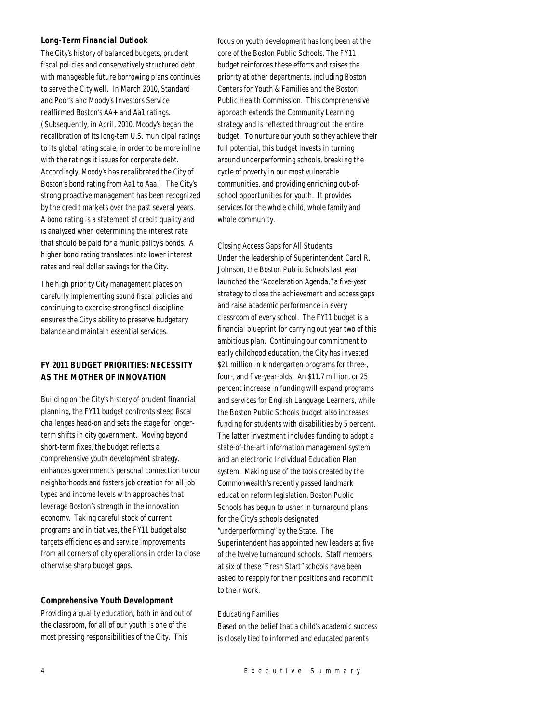## *Long-Term Financial Outlook*

The City's history of balanced budgets, prudent fiscal policies and conservatively structured debt with manageable future borrowing plans continues to serve the City well. In March 2010, Standard and Poor's and Moody's Investors Service reaffirmed Boston's AA+ and Aa1 ratings. (Subsequently, in April, 2010, Moody's began the recalibration of its long-tem U.S. municipal ratings to its global rating scale, in order to be more inline with the ratings it issues for corporate debt. Accordingly, Moody's has recalibrated the City of Boston's bond rating from Aa1 to Aaa.) The City's strong proactive management has been recognized by the credit markets over the past several years. A bond rating is a statement of credit quality and is analyzed when determining the interest rate that should be paid for a municipality's bonds. A higher bond rating translates into lower interest rates and real dollar savings for the City.

The high priority City management places on carefully implementing sound fiscal policies and continuing to exercise strong fiscal discipline ensures the City's ability to preserve budgetary balance and maintain essential services.

# *FY 2011 BUDGET PRIORITIES: NECESSITY AS THE MOTHER OF INNOVATION*

Building on the City's history of prudent financial planning, the FY11 budget confronts steep fiscal challenges head-on and sets the stage for longerterm shifts in city government. Moving beyond short-term fixes, the budget reflects a comprehensive youth development strategy, enhances government's personal connection to our neighborhoods and fosters job creation for all job types and income levels with approaches that leverage Boston's strength in the innovation economy. Taking careful stock of current programs and initiatives, the FY11 budget also targets efficiencies and service improvements from all corners of city operations in order to close otherwise sharp budget gaps.

## *Comprehensive Youth Development*

Providing a quality education, both in and out of the classroom, for all of our youth is one of the most pressing responsibilities of the City. This

focus on youth development has long been at the core of the Boston Public Schools. The FY11 budget reinforces these efforts and raises the priority at other departments, including Boston Centers for Youth & Families and the Boston Public Health Commission. This comprehensive approach extends the Community Learning strategy and is reflected throughout the entire budget. To nurture our youth so they achieve their full potential, this budget invests in turning around underperforming schools, breaking the cycle of poverty in our most vulnerable communities, and providing enriching out-ofschool opportunities for youth. It provides services for the whole child, whole family and whole community.

## Closing Access Gaps for All Students

Under the leadership of Superintendent Carol R. Johnson, the Boston Public Schools last year launched the "Acceleration Agenda," a five-year strategy to close the achievement and access gaps and raise academic performance in every classroom of every school. The FY11 budget is a financial blueprint for carrying out year two of this ambitious plan. Continuing our commitment to early childhood education, the City has invested \$21 million in kindergarten programs for three-, four-, and five-year-olds. An \$11.7 million, or 25 percent increase in funding will expand programs and services for English Language Learners, while the Boston Public Schools budget also increases funding for students with disabilities by 5 percent. The latter investment includes funding to adopt a state-of-the-art information management system and an electronic Individual Education Plan system. Making use of the tools created by the Commonwealth's recently passed landmark education reform legislation, Boston Public Schools has begun to usher in turnaround plans for the City's schools designated "underperforming" by the State. The Superintendent has appointed new leaders at five of the twelve turnaround schools. Staff members at six of these "Fresh Start" schools have been asked to reapply for their positions and recommit to their work.

## Educating Families

Based on the belief that a child's academic success is closely tied to informed and educated parents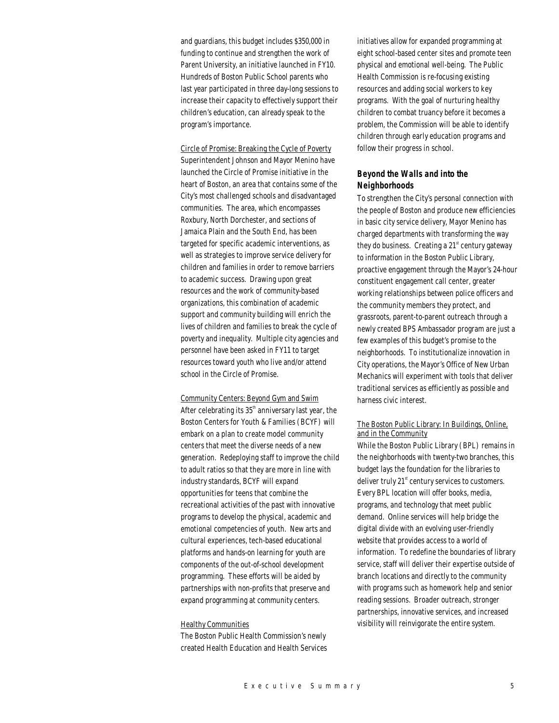and guardians, this budget includes \$350,000 in funding to continue and strengthen the work of Parent University, an initiative launched in FY10. Hundreds of Boston Public School parents who last year participated in three day-long sessions to increase their capacity to effectively support their children's education, can already speak to the program's importance.

Circle of Promise: Breaking the Cycle of Poverty Superintendent Johnson and Mayor Menino have launched the Circle of Promise initiative in the heart of Boston, an area that contains some of the City's most challenged schools and disadvantaged communities. The area, which encompasses Roxbury, North Dorchester, and sections of Jamaica Plain and the South End, has been targeted for specific academic interventions, as well as strategies to improve service delivery for children and families in order to remove barriers to academic success. Drawing upon great resources and the work of community-based organizations, this combination of academic support and community building will enrich the lives of children and families to break the cycle of poverty and inequality. Multiple city agencies and personnel have been asked in FY11 to target resources toward youth who live and/or attend school in the Circle of Promise.

Community Centers: Beyond Gym and Swim After celebrating its  $35<sup>th</sup>$  anniversary last year, the Boston Centers for Youth & Families (BCYF) will embark on a plan to create model community centers that meet the diverse needs of a new generation. Redeploying staff to improve the child to adult ratios so that they are more in line with industry standards, BCYF will expand opportunities for teens that combine the recreational activities of the past with innovative programs to develop the physical, academic and emotional competencies of youth. New arts and cultural experiences, tech-based educational platforms and hands-on learning for youth are components of the out-of-school development programming. These efforts will be aided by partnerships with non-profits that preserve and expand programming at community centers.

#### Healthy Communities

The Boston Public Health Commission's newly created Health Education and Health Services initiatives allow for expanded programming at eight school-based center sites and promote teen physical and emotional well-being. The Public Health Commission is re-focusing existing resources and adding social workers to key programs. With the goal of nurturing healthy children to combat truancy before it becomes a problem, the Commission will be able to identify children through early education programs and follow their progress in school.

## *Beyond the Walls and into the Neighborhoods*

To strengthen the City's personal connection with the people of Boston and produce new efficiencies in basic city service delivery, Mayor Menino has charged departments with transforming the way they do business. Creating a  $21<sup>st</sup>$  century gateway to information in the Boston Public Library, proactive engagement through the Mayor's 24-hour constituent engagement call center, greater working relationships between police officers and the community members they protect, and grassroots, parent-to-parent outreach through a newly created BPS Ambassador program are just a few examples of this budget's promise to the neighborhoods. To institutionalize innovation in City operations, the Mayor's Office of New Urban Mechanics will experiment with tools that deliver traditional services as efficiently as possible and harness civic interest.

## The Boston Public Library: In Buildings, Online, and in the Community

While the Boston Public Library (BPL) remains in the neighborhoods with twenty-two branches, this budget lays the foundation for the libraries to deliver truly  $21<sup>st</sup>$  century services to customers. Every BPL location will offer books, media, programs, and technology that meet public demand. Online services will help bridge the digital divide with an evolving user-friendly website that provides access to a world of information. To redefine the boundaries of library service, staff will deliver their expertise outside of branch locations and directly to the community with programs such as homework help and senior reading sessions. Broader outreach, stronger partnerships, innovative services, and increased visibility will reinvigorate the entire system.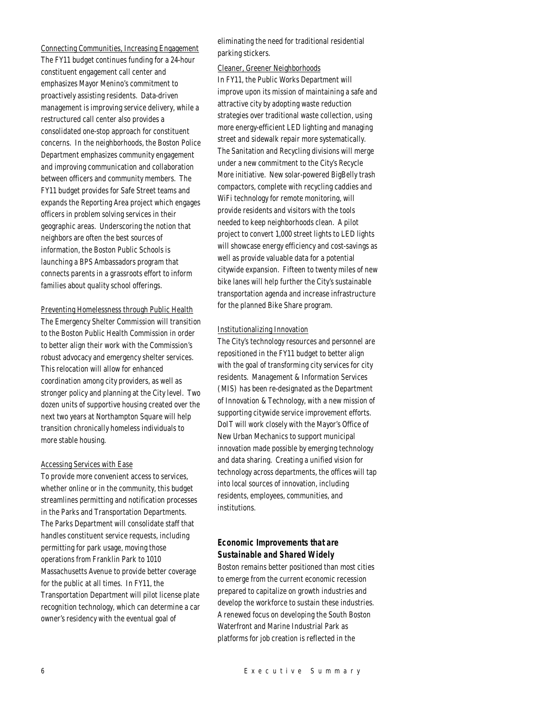Connecting Communities, Increasing Engagement The FY11 budget continues funding for a 24-hour constituent engagement call center and emphasizes Mayor Menino's commitment to proactively assisting residents. Data-driven management is improving service delivery, while a restructured call center also provides a consolidated one-stop approach for constituent concerns. In the neighborhoods, the Boston Police Department emphasizes community engagement and improving communication and collaboration between officers and community members. The FY11 budget provides for Safe Street teams and expands the Reporting Area project which engages officers in problem solving services in their geographic areas. Underscoring the notion that neighbors are often the best sources of information, the Boston Public Schools is launching a BPS Ambassadors program that connects parents in a grassroots effort to inform families about quality school offerings.

## Preventing Homelessness through Public Health

The Emergency Shelter Commission will transition to the Boston Public Health Commission in order to better align their work with the Commission's robust advocacy and emergency shelter services. This relocation will allow for enhanced coordination among city providers, as well as stronger policy and planning at the City level. Two dozen units of supportive housing created over the next two years at Northampton Square will help transition chronically homeless individuals to more stable housing.

#### Accessing Services with Ease

To provide more convenient access to services, whether online or in the community, this budget streamlines permitting and notification processes in the Parks and Transportation Departments. The Parks Department will consolidate staff that handles constituent service requests, including permitting for park usage, moving those operations from Franklin Park to 1010 Massachusetts Avenue to provide better coverage for the public at all times. In FY11, the Transportation Department will pilot license plate recognition technology, which can determine a car owner's residency with the eventual goal of

eliminating the need for traditional residential parking stickers.

#### Cleaner, Greener Neighborhoods

In FY11, the Public Works Department will improve upon its mission of maintaining a safe and attractive city by adopting waste reduction strategies over traditional waste collection, using more energy-efficient LED lighting and managing street and sidewalk repair more systematically. The Sanitation and Recycling divisions will merge under a new commitment to the City's Recycle More initiative. New solar-powered BigBelly trash compactors, complete with recycling caddies and WiFi technology for remote monitoring, will provide residents and visitors with the tools needed to keep neighborhoods clean. A pilot project to convert 1,000 street lights to LED lights will showcase energy efficiency and cost-savings as well as provide valuable data for a potential citywide expansion. Fifteen to twenty miles of new bike lanes will help further the City's sustainable transportation agenda and increase infrastructure for the planned Bike Share program.

## Institutionalizing Innovation

The City's technology resources and personnel are repositioned in the FY11 budget to better align with the goal of transforming city services for city residents. Management & Information Services (MIS) has been re-designated as the Department of Innovation & Technology, with a new mission of supporting citywide service improvement efforts. DoIT will work closely with the Mayor's Office of New Urban Mechanics to support municipal innovation made possible by emerging technology and data sharing. Creating a unified vision for technology across departments, the offices will tap into local sources of innovation, including residents, employees, communities, and institutions.

# *Economic Improvements that are Sustainable and Shared Widely*

Boston remains better positioned than most cities to emerge from the current economic recession prepared to capitalize on growth industries and develop the workforce to sustain these industries. A renewed focus on developing the South Boston Waterfront and Marine Industrial Park as platforms for job creation is reflected in the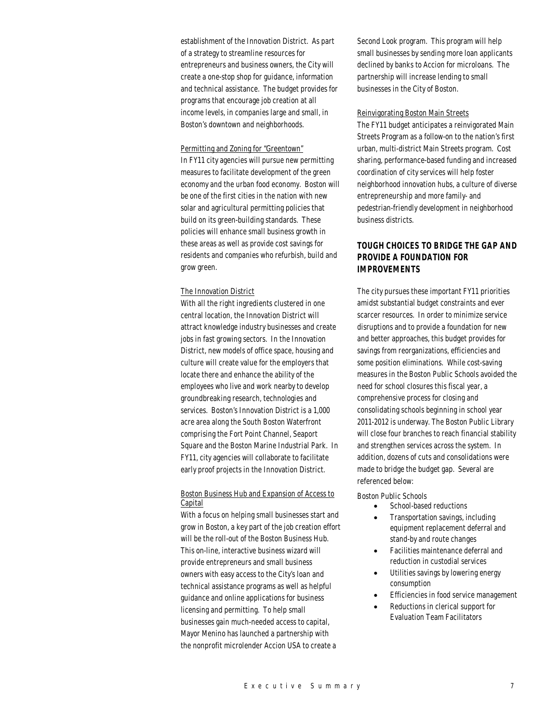establishment of the Innovation District. As part of a strategy to streamline resources for entrepreneurs and business owners, the City will create a one-stop shop for guidance, information and technical assistance. The budget provides for programs that encourage job creation at all income levels, in companies large and small, in Boston's downtown and neighborhoods.

## Permitting and Zoning for "Greentown"

In FY11 city agencies will pursue new permitting measures to facilitate development of the green economy and the urban food economy. Boston will be one of the first cities in the nation with new solar and agricultural permitting policies that build on its green-building standards. These policies will enhance small business growth in these areas as well as provide cost savings for residents and companies who refurbish, build and grow green.

## The Innovation District

With all the right ingredients clustered in one central location, the Innovation District will attract knowledge industry businesses and create jobs in fast growing sectors. In the Innovation District, new models of office space, housing and culture will create value for the employers that locate there and enhance the ability of the employees who live and work nearby to develop groundbreaking research, technologies and services. Boston's Innovation District is a 1,000 acre area along the South Boston Waterfront comprising the Fort Point Channel, Seaport Square and the Boston Marine Industrial Park. In FY11, city agencies will collaborate to facilitate early proof projects in the Innovation District.

## Boston Business Hub and Expansion of Access to Capital

With a focus on helping small businesses start and grow in Boston, a key part of the job creation effort will be the roll-out of the Boston Business Hub. This on-line, interactive business wizard will provide entrepreneurs and small business owners with easy access to the City's loan and technical assistance programs as well as helpful guidance and online applications for business licensing and permitting. To help small businesses gain much-needed access to capital, Mayor Menino has launched a partnership with the nonprofit microlender Accion USA to create a

Second Look program. This program will help small businesses by sending more loan applicants declined by banks to Accion for microloans. The partnership will increase lending to small businesses in the City of Boston.

#### Reinvigorating Boston Main Streets

The FY11 budget anticipates a reinvigorated Main Streets Program as a follow-on to the nation's first urban, multi-district Main Streets program. Cost sharing, performance-based funding and increased coordination of city services will help foster neighborhood innovation hubs, a culture of diverse entrepreneurship and more family- and pedestrian-friendly development in neighborhood business districts.

# *TOUGH CHOICES TO BRIDGE THE GAP AND PROVIDE A FOUNDATION FOR IMPROVEMENTS*

The city pursues these important FY11 priorities amidst substantial budget constraints and ever scarcer resources. In order to minimize service disruptions and to provide a foundation for new and better approaches, this budget provides for savings from reorganizations, efficiencies and some position eliminations. While cost-saving measures in the Boston Public Schools avoided the need for school closures this fiscal year, a comprehensive process for closing and consolidating schools beginning in school year 2011-2012 is underway. The Boston Public Library will close four branches to reach financial stability and strengthen services across the system. In addition, dozens of cuts and consolidations were made to bridge the budget gap. Several are referenced below:

Boston Public Schools

- School-based reductions
- Transportation savings, including equipment replacement deferral and stand-by and route changes
- Facilities maintenance deferral and reduction in custodial services
- Utilities savings by lowering energy consumption
- Efficiencies in food service management
- Reductions in clerical support for Evaluation Team Facilitators